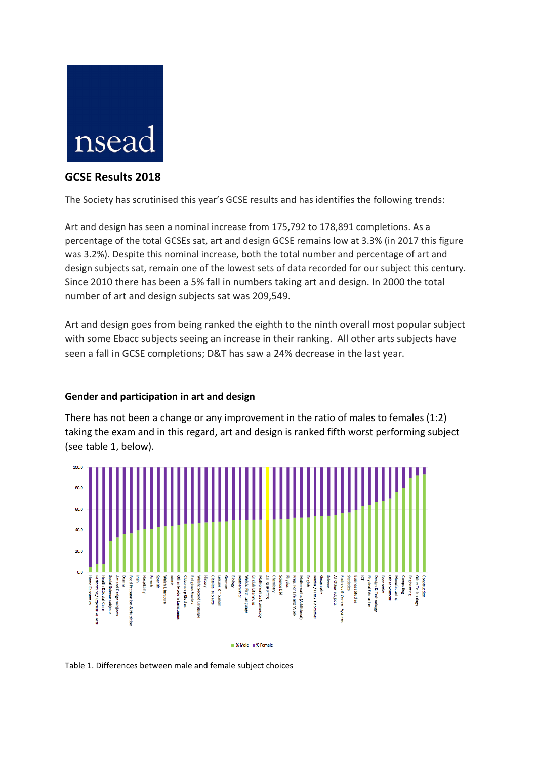

## **GCSE Results 2018**

The Society has scrutinised this year's GCSE results and has identifies the following trends:

Art and design has seen a nominal increase from 175,792 to 178,891 completions. As a percentage of the total GCSEs sat, art and design GCSE remains low at 3.3% (in 2017 this figure was 3.2%). Despite this nominal increase, both the total number and percentage of art and design subjects sat, remain one of the lowest sets of data recorded for our subject this century. Since 2010 there has been a 5% fall in numbers taking art and design. In 2000 the total number of art and design subjects sat was 209,549.

Art and design goes from being ranked the eighth to the ninth overall most popular subject with some Ebacc subjects seeing an increase in their ranking. All other arts subjects have seen a fall in GCSE completions; D&T has saw a 24% decrease in the last year.

## **Gender and participation in art and design**

There has not been a change or any improvement in the ratio of males to females  $(1:2)$ taking the exam and in this regard, art and design is ranked fifth worst performing subject (see table 1, below).



Table 1. Differences between male and female subject choices